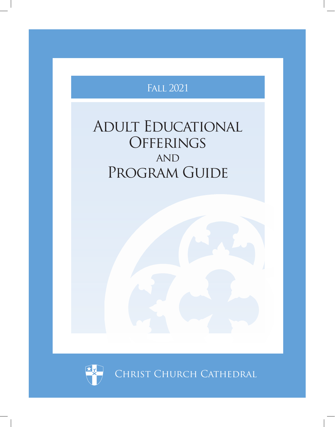

# ADULT EDUCATIONAL **OFFERINGS AND** PROGRAM GUIDE



Christ Church Cathedral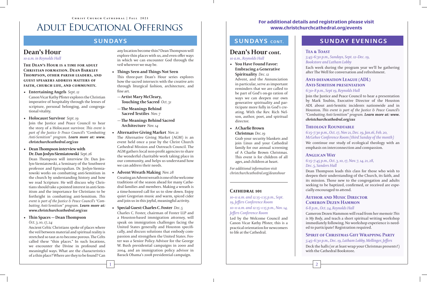# ADULT EDUCATIONAL OFFERINGS | For additional details and registration please visit<br>www.christchurchcathedral.org/events

## **SUNDAYS**

## **Dean's Hour**

*10 a.m. in Reynolds Hall*

**The Dean's Hour is a time for adult Christian formation. Dean Barkley Thompson, other parish leaders, and guest speakers address matters of faith, church life, and community.**

• **Entertaining Angels** *Sept. 12*

Canon Vicar Kathy Pfister explores the Christian imperative of hospitality through the lenses of scripture, personal belonging, and congregational vitality.

- **Holocaust Survivor** Sept. 19 Join the Justice and Peace Council to hear the story of a Holocaust survivor. *This event is part of the Justice & Peace Council's "Combatting Anti-Semitism" program. Learn more at: www. christchurchcathedral.org/cas*
- **Dean Thompson interview with Dr. Dan Joslyn-Siemiatowski**  *Sept. 26*

Dean Thompson will interview Dr. Dan Joslyn-Siemiatowski, a Seminary of the Southwest professor and Episcopalian. Dr. Joslyn-Siemiatowski works on combatting anti-Semitism in the church by understanding history and how we read Scripture. He will discuss why Christians should take a pointed interest in anti-Semitism and the importance for Christians to be forthright in combatting anti-Semitism. *This event is part of the Justice & Peace Council's "Combatting Anti-Semitism" program. Learn more at: www.christchurchcathedral.org/cas* 

• **Thin Spaces — Dean Thompson** 

#### *Oct. 3, 10, 17, 24*

Ancient Celtic Christians spoke of places where the veil between material and spiritual reality is stretched so taut as to become porous. The Celts called these "thin places." In such locations, we encounter the Divine in profound and meaningful ways. What are the characteristics of a thin place? Where are they to be found? Can

any location become thin? Dean Thompson will explore thin places with us, and even offer ways in which we can encounter God through the veil wherever we may be.

• **You Have Found Favor: Embracing a Generative Spirituality** *Dec. 12* 

- **• Things Seen and Things Not Seen**  This three-part Dean's Hour series explores how the sacred intersects with the creative arts through liturgical fashion, architecture, and fine art.
- — **Artist Mary McCleary, Touching the Sacred Oct. 31**
- — **The Meanings Behind Sacred Textiles** *Nov. 7*
- — **The Meanings Behind Sacred Architecture** *Nov. 14*
- **Alternative Giving Market** *Nov. 21* The Alternative Giving Market (AGM) is an event held once a year by the Christ Church Cathedral Mission and Outreach Council. The AGM gathers local non-profit agencies to share the wonderful charitable work taking place in our community, and helps us understand how we can address their needs.
- **Advent Wreath Making** *Nov. 28* Creating an Advent wreath is one of the welcome traditions of the season ahead for many Cathedral families and members. Making a wreath is a time-honored call for us to slow down. Enjoy quiet Gregorian music and warm, spiced cider and join us in this joyful, meaningful activity.
- **Special Guest: Charles C. Foster** *Dec. 5* Charles C. Foster, chairman of Foster LLP and a Houston-based immigration attorney, will speak on immigration challenges facing the United States generally and Houston specifically, and discuss solutions that embody compassion and strengthen the United States. Foster was a Senior Policy Advisor for the George W. Bush presidential campaigns in 2000 and 2004, and an immigration policy advisor in Barack Obama's 2008 presidential campaign.

### SUNDAYS CONT.

## sunday evenings

#### **Tea & Toast**

*5:45–6:30 p.m., Sundays, Sept. 12–Dec. 19, Bookstore and Latham Lobby*

Each week during the program year we'll be gathering after The Well for conversation and refreshment.

#### **Anti-defamation League (ADL) Anti-Semitism presentation**

#### *6:30–8 p.m., Sept 19, Reynolds Hall*

Join the Justice and Peace Council to hear a presentation by Mark Toubin, Executive Director of the Houston ADL about anti-Semitic incidents nationwide and in Houston. *This event is part of the Justice & Peace Council's "Combatting Anti-Semitism" program. Learn more at: www. christchurchcathedral.org/cas*

#### **Theology Roundtable**

#### *6:15–7:30 p.m., Oct. 17, Nov 21, Dec. 19, Jan.16, Feb. 20, McGehee Conference Room (third Sunday of the month)*

We continue our study of ecological theology with an emphasis on interconnection and compassion.

### **Anglican Way**

#### *6:15–7:45 p.m., Oct. 3, 10, 17, Nov. 7, 14, 21, 28, Dec. 5, Sanders Hall*

Dean Thompson leads this class for those who wish to deepen their understanding of the Church, its faith, and its mission. Those new to the congregation and adults seeking to be baptized, confirmed, or received are especially encouraged to attend.

#### **Author and Music Director Cameron Dezen Hammon**

#### *6-8 p.m., Oct. 24, Reynolds Hall*

Cameron Dezen Hammon will read from her memoir *This is My Body*, and teach a short spiritual writing workshop immediately following. No workshop experience is needed to participate! Registration required.

### **Spirit of Christmas Gift Wrapping Party**  *5:45–6:30 p.m., Dec. 19, Latham Lobby, Mellinger, Jeffers*

Deck the halls (or at least wrap your Christmas presents!) with the Cathedral Bookstore.

### **Dean's Hour cont.**

*10 a.m., Reynolds Hall*

Advent, and the Annunciation in particular, serve as important reminders that we are called to be part of God's on-go ration of ways we can deepen our own generative spirituality and participate more fully in God's creating. With the Rev. Rich Nelson, author, poet, and spiritual director.

#### • **A Charlie Brown Christmas** *Dec. 19*

Grab your security blankets and join Linus and your Cathedral family for our annual screening of A Charlie Brown Christmas. This event is for children of all ages, and children at heart.

*For additional information visit christchurchcathedral.org/deanshour* 

### **Cathedral 101**

*10–11 a.m. and 12:15–1:15 p.m., Sept. 19, Jeffers Conference Room 10–11 a.m. and 12:15–1:15 p.m., Nov. 14, Jeffers Conference Room*

Led by the Welcome Council and Canon Vicar Kathy Pfister, this is a practical orientation for newcomers to life at the Cathedral.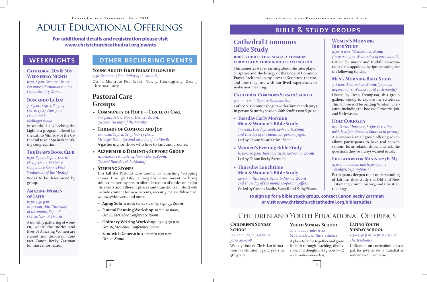#### **Young Adults First Friday Fellowship**

*7:30–8:30 p.m. (First Friday of the Month)*

Oct. 1, Montrose Pub Crawl; Nov. 5, Friendsgiving; Dec. 3, Christmas Party

## **Pastoral Care Groups**

- **Community of Hope Circle of Care**  *6–8 p.m., Oct. 12, Nov 9, Dec. 14 , Zoom, (Second Tuesday of the Month)*
- **Threads of Comfort and Joy**  *10–11 a.m., Sept. 11, Oct.9, Nov. 13, Dec. 11, Mellinger Room, (Second Saturday of the Month)* A gathering for those who love to knit and crochet.

#### • **Alzheimer & Dementia Support Group**

*11:30 a.m. to 1 p.m., Oct 14, Nov 11, Dec. 9, Zoom, (Second Thursday of the Month)*

#### • **Stepping Stones**

This fall the Pastoral Care Council is launching "Stepping Stones Through Life," a program series meant to bring subject matter experts to offer discussion of topics on major life events and different phases and transitions in life. It will include content for new parents, recently married/divorced, widows/widowers, and more.

#### **AMAZING WOMEN of Faith**

#### **BIBLE STUDIES THAT SHARE A COMMON curriculum throughout each season**

- **— Aging Solo** *4 week series starting Sept. 15, Zoom*
- **Funeral Planning Workshop** *10 a.m. to noon*, *Oct. 16, McGehee Conference Room*
- **— Obituary Writing Workshop** *1:30–3:30 p.m., Oct. 16, McGehee Conference Room*
- **— Sandwich Generation** *noon to 1:30 p.m., Oct. 21, Zoom*

#### **Cathedral 20s & 30s Wednesday Nights**

*6:30–8 p.m., Sept. 22–Dec. 15. For more information contact Canon Bradley Varnell.*

### **Buscando La Luz**

*7–8 p.m., Sept. 1, 8, 15, 29, Oct. 6, 13, 27, Nov. 3, 10, Dec. 1 and 8, Mellinger Room*

Buscando la Luz/Seeking the Light is a program offered by the Latino Ministry of the Cathedral to our Spanish speaking congregation.

#### **The Dean's Book Club**

*6:30–8 p.m., Sept. 1, Oct. 6, Nov. 3, Dec. 1, McGehee Conference Room, (First Wednesday of the Month)* Books to be determined by group.

*6:30–7:30 p.m., In-person, third Thursday of the month, Sept. 16, Oct. 21, Nov. 18, Dec. 16*

A monthly gathering of women, where the stories and lives of Amazing Women are shared and discussed. Contact Canon Becky Zartman for more information.

## WEEKNIGHTS **OTHER RECURRING EVENTS**

## bible & study groups

## **Cathedral Commons Bible Study**

### **Latino Youth SUNDAY SCHOOL**

This semester we're learning about the interplay of Scripture and the liturgy of the Book of Common Prayer. Each session explores the Scripture, the rite, and how they fuse with our lived experiences to make new meaning.

#### **Cathedral Commons Season Launch**

#### *9 a.m. – 1 p.m., Sept. 11, Reynolds Hall*

Cathedral Commons begins with a (non-mandatory) in-person Saturday session. *Bible Studies start Sept. 14.*

• **Tuesday Early Morning Men & Women's Bible Study** *7–8 a.m., Tuesdays, Sept. 14–Nov. 16, Zoom 2nd Tuesday of the month in–person, Jeffers*

Led by Canon Vicar Kathy Pfister

- **Women's Evening Bible Study** *6:30–7:30 p.m., Tuesdays, Sept. 14–Nov. 16, Zoom* Led by Canon Becky Zartman
- **Thursday Lunchtime Men & Women's Bible Study** *12–1 p.m. Thursdays, Sept. 16–Nov. 18, Zoom 2nd Thursday of the month in–person, Jeffers*

Co-led by Canons Bradley Varnell and Kathy Pfister.

#### **Women's Morning Bible Study**

*9:30–11 a.m., Wednesdays, Zoom (In-person first Wednesday of each month)*

Gather for sincere and truthful conversation on the appointed scripture reading for the following Sunday.

#### **Men's Morning Bible Study** *7–8 a.m. Wednesdays, Zoom, (7:30 a.m. in-person first Wednesday of each month)*

Hosted by Dean Thompson, this group gathers weekly to explore the scriptures. This fall, we will be reading Wisdom Literature, including the books of Proverbs, Job, and Ecclesiastes.

#### **Holy Curiosity**

#### *6:30–8 p.m., Thursdays, begins Oct. 7, Reynolds Hall (continues on Zoom or in-person)*

A seven-week small group offering which allows participants to have real conversations, form relationships, and ask the questions they've always wanted to ask.

#### **Education for Ministry (EfM)**  *9:30 a.m. to noon and 6:30–9 p.m., Tuesdays, Sept. 7–June 7*

Participants deepen their understanding of faith as they study the Old and New Testament, church history, and Christian theology.

#### **Children's Sunday School**

#### *10–11 a.m., Sept. 12–Dec. 12, Jones 201–208*

Weekly time of Christian formation for children ages 2 years to 5th grade.

#### **Youth Sunday School**

#### *10–11 a.m., grades 6–12, Sept. 12–Dec. 12, The Treehouse*

A place to come together and grow in faith through teaching, discussion, and doughnuts (grades 6–12 and Confirmation class).

*1:30–2:30 p.m., Sept. 12–Dec. 12, The Treehouse*

Utilizando un currículum episcopal, los jóvenes de la Catedral se reúnen en el Treehouse.

**To sign up for a bible study group, contact Canon Becky Zartman or visit www.christchurchcathedral.org/biblestudies**

# Adult Educational Offerings

### For additional details and registration please visit www.christchurchcathedral.org/events

## Children and Youth Educational Offerings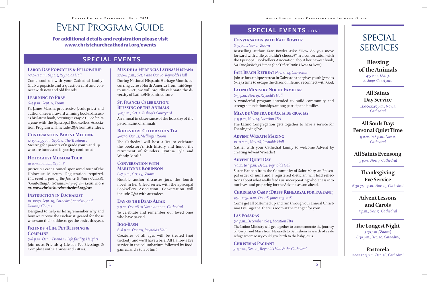## special events

### **Labor Day Popsicles & Fellowship**

#### *9:30–11 a.m., Sept. 5, Reynolds Hall*

Come cool off with your Cathedral family! Grab a popsicle and a question card and connect with new and old friends.

#### **Learning to Pray**

#### *6–7 p.m., Sept. 9, Zoom*

Fr. James Martin, progressive Jesuit priest and author of several award winning books, discusses his latest book, *Learning to Pray: A Guide for Everyone* with the Episcopal Booksellers Association. Program will include Q&A from attendees.

#### **CONFIRMATION PARENT MEETING**

*12:15–12:55 p.m. Sept. 12, The Treehouse* Meeting for parents of 8 grade youth and up who are interested in getting confirmed.

#### **Holocaust Museum Tour**

#### *10 a.m. to noon, Sept. 18*

Justice & Peace Council sponsored tour of the Holocaust Museum. Registration required. *This event is part of the Justice & Peace Council's "Combatting Anti-Semitism" program. Learn more at: www.christchurchcathedral.org/cas* 

#### **INSTRUCTION IN EUCHARIST**

#### *10–10:50, Sept. 19, Cathedral, sacristy, and Golding Chapel*

Designed to help us learn/remember why and how we receive the Eucharist, geared for those who want their kiddos to get the basics this year.

#### **Friends 4 Life Pet Blessing & Compline**

#### *7–8 p.m., Oct. 1, Friends 4 Life facility, Heights*

Join us at Friends 4 Life for Pet Blessings & Compline with Canines and Kitties.

#### **Mes de la Herencia Latina/ Hispana** *2:30–4 p.m., Oct. 3 and Oct. 10, Reynolds Hall*

During National Hispanic Heritage Month, occurring across North America from mid-Sept. to mid-Oct., we will proudly celebrate the diversity of Latino/Hispanic culture.

### **St. Francis Celebration: Blessing of the Animals**

#### *4–5 p.m., Oct. 3, Bishop's Courtyard*

An annual in observance of the feast day of the patron saint of animals.

#### **BOOKSTORE CELEBRATION TEA**

#### *4–5:30, Oct. 12, Mellinger Room*

The Cathedral will host a Tea to celebrate the bookstore's rich history and honor the retirement of founders Cynthia Pyle and Wendy Bentlif.

#### **Conversation with Marilynne Robinson**

#### *6–7 p.m., Oct. 14, Zoom*

Notable author discusses *Jack,* the fourth novel in her Gilead series, with the Episcopal Booksellers Association. Conversation will include Q&A with attendees.

#### **Day of the Dead Altar**

#### *7 p.m., Oct. 28 to Nov. 1 at noon, Cathedral*

To celebrate and remember our loved ones who have passed.

#### **Boo-Bash**

#### *6–8 p.m., Oct. 29, Reynolds Hall*

Creatures of all ages will be treated (not tricked), and we'll have a brief All Hallow's Eve service in the columbarium followed by food, games, and a ton of fun!

## SPECIAL EVENTS CONT.

## **CONVERSATION WITH KATE BOWLER**

#### *6–7, p.m., Nov. 11, Zoom*

Bestselling author Kate Bowler asks: "How do you move forward with a life you didn't choose?" in a conversation with the Episcopal Booksellers Association about her newest book, *No Cure for Being Human (And Other Truths I Need to Hear).*

#### **Fall Beach Retreat** *Nov. 12–14, Galveston*

Join us for a unique retreat in Galveston that gives youth (grades 6–12) a time to escape the chaos of life and reconnect with God.

#### **Latino Ministry Noche Familiar** *6–9 p.m., Nov. 19, Reynold's Hall*

A wonderful program intended to build community and strengthen relationships among participant families.

#### **Misa de Vispera de Accia de gracias**

#### *7–9 p.m., Nov. 24, Location TBA*

The Latino Congregation gets together to have a service for Thanksgiving Eve.

#### **Advent Wreath Making**

#### *10–11 a.m., Nov. 28, Reynolds Hall*

Gather with your Cathedral family to welcome Advent by creating Advent Wreaths!

#### **Advent Quiet Day**

#### *9 a.m. to 3 p.m., Dec. 4, Reynolds Hall*

Sister Hannah from the Community of Saint Mary, an Episcopal order of nuns and a registered dietician, will lead reflections about what really feeds us, incorporating wholeness into our lives, and preparing for the Advent season ahead.

#### **Christmas Camp (Dress Rehearsal for pageant)**

#### *9:30–11:30 a.m., Dec. 18, Jones 205–208*

Come get all costumed up and run through our annual Christmas Eve Pageant. There is room at the manger for you!

#### **Las Posadas**

#### *7-9 p.m., December 16-23, Location TBA*

The Latino Ministry will get together to commemorate the journey of Joseph and Mary from Nazareth to Bethlehem in search of a safe refuge where Mary could give birth to the baby Jesus.

#### **Christmas Pageant**

*3–5 p.m., Dec. 24, Reynolds Hall & the Cathedral*

# **SPECIAL SERVICES**

# EVENT PROGRAM GUIDE

## **Blessing of the Animals**

*4-5 p.m., Oct. 3, Bishops Courtyard*

### **All Saints Day Service**

*12:05-12:45 p.m., Nov. 1, Cathedral*

### **All Souls Day: Personal Quiet Time**

*9 a.m. to 8 p.m., Nov. 2, Cathedral*

### **All Saints Evensong**

 *5 p.m., Nov. 7, Cathedral*

### **Thanksgiving Eve Service**

*6:30-7:30 p.m., Nov. 24, Cathedral*

### **Advent Lessons and Carols** *5 p.m., Dec. 5 , Cathedral*

**The Longest Night** *5:30 p.m. (Zoom)*

 *6:30 p.m., Dec. 20, Cathedral,*

### **Pastorela**  *noon to 3 p.m. Dec. 26, Cathedral*

 $5 \sim 6$ 

### For additional details and registration please visit www.christchurchcathedral.org/events